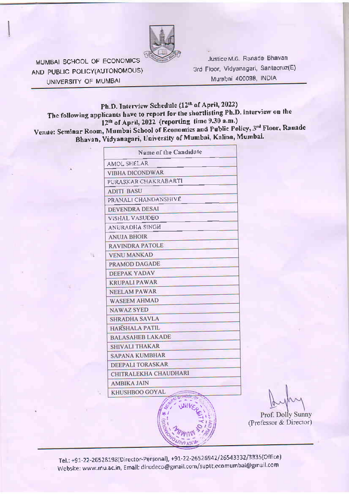

MUMBAI SCHOOL OF ECONOMICS AND PUBLIC POLICY(AUTONOMOUS) UNIVERSITY OF MUMBAI

Justice M.G. Ranade Bhavan 3rd Floor, Vidyanagari, Santacruz(E) Mumbai 400098, INDIA

# Ph.D. Interview Schedule (12th of April, 2022) The following applicants have to report for the shortlisting Ph.D. interview on the 12<sup>th</sup> of April, 2022 (reporting time 9.30 a.m.)

Venue: Seminar Room, Mumbai School of Economics and Public Policy, 3rd Floor, Ranade Bhavan, Vidyanagari, University of Mumbai, Kalina, Mumbai.

| Name of the Candidate   |  |
|-------------------------|--|
| AMOL SHELAR             |  |
| VIBHA DICONDWAR         |  |
| PURASKAR CHAKRABARTI    |  |
| <b>ADITI BASU</b>       |  |
| PRANALI CHANDANSHIVE    |  |
| <b>DEVENDRA DESAI</b>   |  |
| <b>VISHAL VASUDEO</b>   |  |
| <b>ANURADHA SINGH</b>   |  |
| <b>ANUJA BHOIR</b>      |  |
| <b>RAVINDRA PATOLE</b>  |  |
| <b>VENU MANKAD</b>      |  |
| PRAMOD DAGADE           |  |
| <b>DEEPAK YADAV</b>     |  |
| <b>KRUPALI PAWAR</b>    |  |
| <b>NEELAM PAWAR</b>     |  |
| <b>WASEEM AHMAD</b>     |  |
| <b>NAWAZ SYED</b>       |  |
| <b>SHRADHA SAVLA</b>    |  |
| <b>HARSHALA PATIL</b>   |  |
| <b>BALASAHEB LAKADE</b> |  |
| <b>SHIVALI THAKAR</b>   |  |
| <b>SAPANA KUMBHAR</b>   |  |
| DEEPALI TORASKAR        |  |
| CHITRALEKHA CHAUDHARI   |  |
| <b>AMBIKA JAIN</b>      |  |
| KHUSHBOO GOYAL          |  |

Prof. Dolly Sunny (Professor & Director)

Tel.: +91-22-26528198(Director-Personal), +91-22-26526942/26543332/3335(Office) Website: www.mu.ac.in, Email: dirudeco@gmail.com/suptt.ecomumbai@gmail.com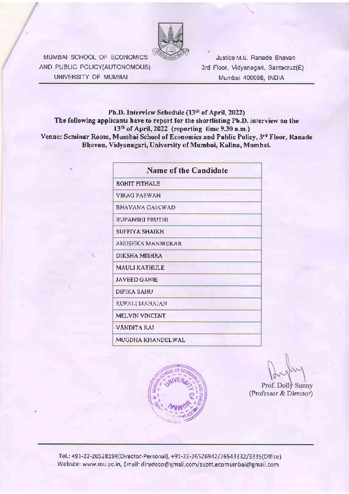

MUMBAI SCHOOL OF ECONOMICS AND PUBLIC POLICY(AUTONOMOUS) UNIVERSITY OF MUMBAI

Justice M.G. Ranade Bhavan 3rd Floor, Vidyanagari, Santacruz(E) Mumbai 400098, INDIA

#### Ph.D. Interview Schedule (13th of April, 2022) The following applicants have to report for the shortlisting Ph.D. interview on the 13<sup>th</sup> of April, 2022 (reporting time 9.30 a.m.) Venue: Seminar Room, Mumbai School of Economics and Public Policy, 3rd Floor, Ranade Bhavan, Vidyanagari, University of Mumbai, Kalina, Mumbai.

| Name of the Candidate |
|-----------------------|
| ROHIT PITHALE         |
| VIRAG PASWAN          |
| BHAVANA GAIKWAD       |
| RUPANSHI PRUTHI       |
| SUFFIYA SHAIKH        |
| ANUSHKA MANJREKAR     |
| DIKSHA MISHRA         |
| MAULI KATHULE         |
| <b>JAVEED GANIE</b>   |
| <b>DIPIKA SAHU</b>    |
| RUPALI MAHAJAN        |
| <b>MELVIN VINCENT</b> |
| VANDITA RAI           |
| MUGDHA KHANDELWAL     |



Prof. Dolly Sunny (Professor & Director)

Tel.: +91-22-26528198(Director-Personal), +91-22-26526942/26543332/3335(Office) Website: www.mu.ac.in, Email: dirudeco@gmail.com/suptt.ecomumbai@gmail.com